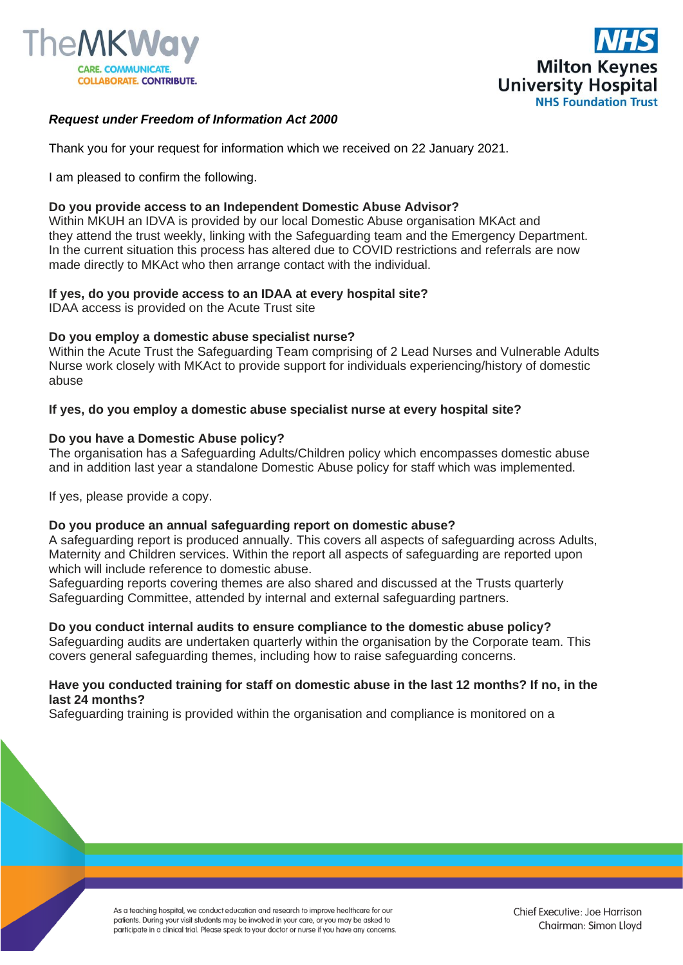



# *Request under Freedom of Information Act 2000*

Thank you for your request for information which we received on 22 January 2021.

I am pleased to confirm the following.

## **Do you provide access to an Independent Domestic Abuse Advisor?**

Within MKUH an IDVA is provided by our local Domestic Abuse organisation MKAct and they attend the trust weekly, linking with the Safeguarding team and the Emergency Department. In the current situation this process has altered due to COVID restrictions and referrals are now made directly to MKAct who then arrange contact with the individual.

## **If yes, do you provide access to an IDAA at every hospital site?**

IDAA access is provided on the Acute Trust site

## **Do you employ a domestic abuse specialist nurse?**

Within the Acute Trust the Safeguarding Team comprising of 2 Lead Nurses and Vulnerable Adults Nurse work closely with MKAct to provide support for individuals experiencing/history of domestic abuse

## **If yes, do you employ a domestic abuse specialist nurse at every hospital site?**

## **Do you have a Domestic Abuse policy?**

The organisation has a Safeguarding Adults/Children policy which encompasses domestic abuse and in addition last year a standalone Domestic Abuse policy for staff which was implemented.

If yes, please provide a copy.

#### **Do you produce an annual safeguarding report on domestic abuse?**

A safeguarding report is produced annually. This covers all aspects of safeguarding across Adults, Maternity and Children services. Within the report all aspects of safeguarding are reported upon which will include reference to domestic abuse.

Safeguarding reports covering themes are also shared and discussed at the Trusts quarterly Safeguarding Committee, attended by internal and external safeguarding partners.

#### **Do you conduct internal audits to ensure compliance to the domestic abuse policy?**

Safeguarding audits are undertaken quarterly within the organisation by the Corporate team. This covers general safeguarding themes, including how to raise safeguarding concerns.

#### **Have you conducted training for staff on domestic abuse in the last 12 months? If no, in the last 24 months?**

Safeguarding training is provided within the organisation and compliance is monitored on a

As a teaching hospital, we conduct education and research to improve healthcare for our patients. During your visit students may be involved in your care, or you may be asked to participate in a clinical trial. Please speak to your doctor or nurse if you have any concerns.